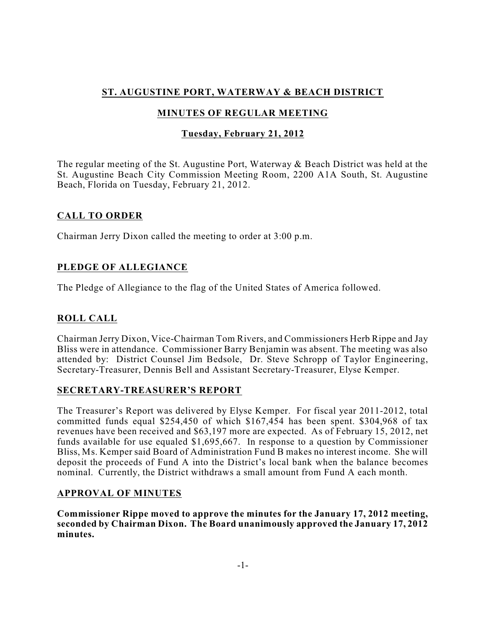# **ST. AUGUSTINE PORT, WATERWAY & BEACH DISTRICT**

# **MINUTES OF REGULAR MEETING**

## **Tuesday, February 21, 2012**

The regular meeting of the St. Augustine Port, Waterway & Beach District was held at the St. Augustine Beach City Commission Meeting Room, 2200 A1A South, St. Augustine Beach, Florida on Tuesday, February 21, 2012.

## **CALL TO ORDER**

Chairman Jerry Dixon called the meeting to order at 3:00 p.m.

## **PLEDGE OF ALLEGIANCE**

The Pledge of Allegiance to the flag of the United States of America followed.

# **ROLL CALL**

Chairman Jerry Dixon, Vice-Chairman Tom Rivers, and Commissioners Herb Rippe and Jay Bliss were in attendance. Commissioner Barry Benjamin was absent. The meeting was also attended by: District Counsel Jim Bedsole, Dr. Steve Schropp of Taylor Engineering, Secretary-Treasurer, Dennis Bell and Assistant Secretary-Treasurer, Elyse Kemper.

## **SECRETARY-TREASURER'S REPORT**

The Treasurer's Report was delivered by Elyse Kemper. For fiscal year 2011-2012, total committed funds equal \$254,450 of which \$167,454 has been spent. \$304,968 of tax revenues have been received and \$63,197 more are expected. As of February 15, 2012, net funds available for use equaled \$1,695,667. In response to a question by Commissioner Bliss, Ms. Kemper said Board of Administration Fund B makes no interest income. She will deposit the proceeds of Fund A into the District's local bank when the balance becomes nominal. Currently, the District withdraws a small amount from Fund A each month.

## **APPROVAL OF MINUTES**

**Commissioner Rippe moved to approve the minutes for the January 17, 2012 meeting, seconded by Chairman Dixon. The Board unanimously approved the January 17, 2012 minutes.**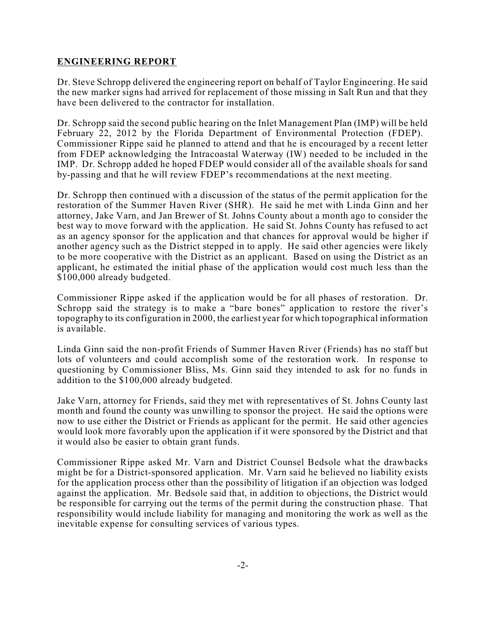### **ENGINEERING REPORT**

Dr. Steve Schropp delivered the engineering report on behalf of Taylor Engineering. He said the new marker signs had arrived for replacement of those missing in Salt Run and that they have been delivered to the contractor for installation.

Dr. Schropp said the second public hearing on the Inlet Management Plan (IMP) will be held February 22, 2012 by the Florida Department of Environmental Protection (FDEP). Commissioner Rippe said he planned to attend and that he is encouraged by a recent letter from FDEP acknowledging the Intracoastal Waterway (IW) needed to be included in the IMP. Dr. Schropp added he hoped FDEP would consider all of the available shoals for sand by-passing and that he will review FDEP's recommendations at the next meeting.

Dr. Schropp then continued with a discussion of the status of the permit application for the restoration of the Summer Haven River (SHR). He said he met with Linda Ginn and her attorney, Jake Varn, and Jan Brewer of St. Johns County about a month ago to consider the best way to move forward with the application. He said St. Johns County has refused to act as an agency sponsor for the application and that chances for approval would be higher if another agency such as the District stepped in to apply. He said other agencies were likely to be more cooperative with the District as an applicant. Based on using the District as an applicant, he estimated the initial phase of the application would cost much less than the \$100,000 already budgeted.

Commissioner Rippe asked if the application would be for all phases of restoration. Dr. Schropp said the strategy is to make a "bare bones" application to restore the river's topography to its configuration in 2000, the earliest year for which topographical information is available.

Linda Ginn said the non-profit Friends of Summer Haven River (Friends) has no staff but lots of volunteers and could accomplish some of the restoration work. In response to questioning by Commissioner Bliss, Ms. Ginn said they intended to ask for no funds in addition to the \$100,000 already budgeted.

Jake Varn, attorney for Friends, said they met with representatives of St. Johns County last month and found the county was unwilling to sponsor the project. He said the options were now to use either the District or Friends as applicant for the permit. He said other agencies would look more favorably upon the application if it were sponsored by the District and that it would also be easier to obtain grant funds.

Commissioner Rippe asked Mr. Varn and District Counsel Bedsole what the drawbacks might be for a District-sponsored application. Mr. Varn said he believed no liability exists for the application process other than the possibility of litigation if an objection was lodged against the application. Mr. Bedsole said that, in addition to objections, the District would be responsible for carrying out the terms of the permit during the construction phase. That responsibility would include liability for managing and monitoring the work as well as the inevitable expense for consulting services of various types.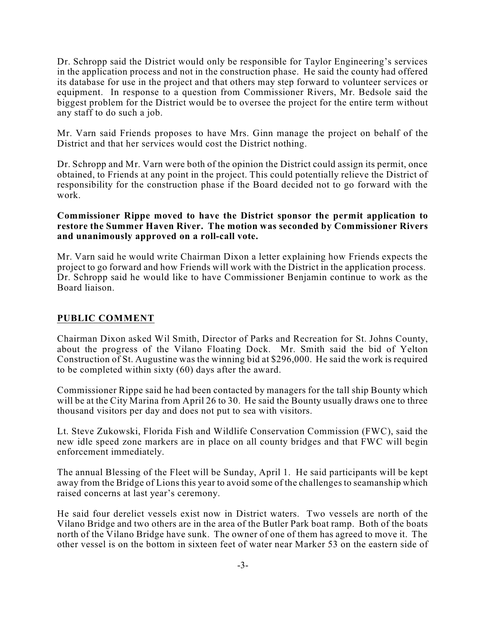Dr. Schropp said the District would only be responsible for Taylor Engineering's services in the application process and not in the construction phase. He said the county had offered its database for use in the project and that others may step forward to volunteer services or equipment. In response to a question from Commissioner Rivers, Mr. Bedsole said the biggest problem for the District would be to oversee the project for the entire term without any staff to do such a job.

Mr. Varn said Friends proposes to have Mrs. Ginn manage the project on behalf of the District and that her services would cost the District nothing.

Dr. Schropp and Mr. Varn were both of the opinion the District could assign its permit, once obtained, to Friends at any point in the project. This could potentially relieve the District of responsibility for the construction phase if the Board decided not to go forward with the work.

#### **Commissioner Rippe moved to have the District sponsor the permit application to restore the Summer Haven River. The motion was seconded by Commissioner Rivers and unanimously approved on a roll-call vote.**

Mr. Varn said he would write Chairman Dixon a letter explaining how Friends expects the project to go forward and how Friends will work with the District in the application process. Dr. Schropp said he would like to have Commissioner Benjamin continue to work as the Board liaison.

## **PUBLIC COMMENT**

Chairman Dixon asked Wil Smith, Director of Parks and Recreation for St. Johns County, about the progress of the Vilano Floating Dock. Mr. Smith said the bid of Yelton Construction of St. Augustine was the winning bid at \$296,000. He said the work is required to be completed within sixty (60) days after the award.

Commissioner Rippe said he had been contacted by managers for the tall ship Bounty which will be at the City Marina from April 26 to 30. He said the Bounty usually draws one to three thousand visitors per day and does not put to sea with visitors.

Lt. Steve Zukowski, Florida Fish and Wildlife Conservation Commission (FWC), said the new idle speed zone markers are in place on all county bridges and that FWC will begin enforcement immediately.

The annual Blessing of the Fleet will be Sunday, April 1. He said participants will be kept away from the Bridge of Lions this year to avoid some of the challenges to seamanship which raised concerns at last year's ceremony.

He said four derelict vessels exist now in District waters. Two vessels are north of the Vilano Bridge and two others are in the area of the Butler Park boat ramp. Both of the boats north of the Vilano Bridge have sunk. The owner of one of them has agreed to move it. The other vessel is on the bottom in sixteen feet of water near Marker 53 on the eastern side of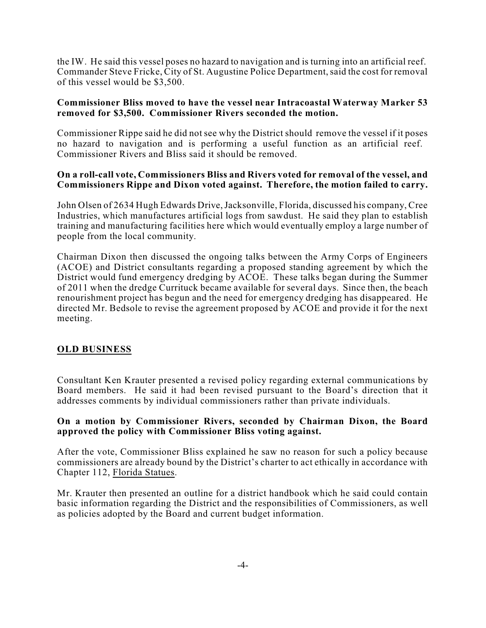the IW. He said this vessel poses no hazard to navigation and is turning into an artificial reef. Commander Steve Fricke, City of St. Augustine Police Department, said the cost for removal of this vessel would be \$3,500.

#### **Commissioner Bliss moved to have the vessel near Intracoastal Waterway Marker 53 removed for \$3,500. Commissioner Rivers seconded the motion.**

Commissioner Rippe said he did not see why the District should remove the vessel if it poses no hazard to navigation and is performing a useful function as an artificial reef. Commissioner Rivers and Bliss said it should be removed.

### **On a roll-call vote, Commissioners Bliss and Rivers voted for removal of the vessel, and Commissioners Rippe and Dixon voted against. Therefore, the motion failed to carry.**

John Olsen of 2634 Hugh Edwards Drive,Jacksonville, Florida, discussed his company, Cree Industries, which manufactures artificial logs from sawdust. He said they plan to establish training and manufacturing facilities here which would eventually employ a large number of people from the local community.

Chairman Dixon then discussed the ongoing talks between the Army Corps of Engineers (ACOE) and District consultants regarding a proposed standing agreement by which the District would fund emergency dredging by ACOE. These talks began during the Summer of 2011 when the dredge Currituck became available for several days. Since then, the beach renourishment project has begun and the need for emergency dredging has disappeared. He directed Mr. Bedsole to revise the agreement proposed by ACOE and provide it for the next meeting.

## **OLD BUSINESS**

Consultant Ken Krauter presented a revised policy regarding external communications by Board members. He said it had been revised pursuant to the Board's direction that it addresses comments by individual commissioners rather than private individuals.

### **On a motion by Commissioner Rivers, seconded by Chairman Dixon, the Board approved the policy with Commissioner Bliss voting against.**

After the vote, Commissioner Bliss explained he saw no reason for such a policy because commissioners are already bound by the District's charter to act ethically in accordance with Chapter 112, Florida Statues.

Mr. Krauter then presented an outline for a district handbook which he said could contain basic information regarding the District and the responsibilities of Commissioners, as well as policies adopted by the Board and current budget information.